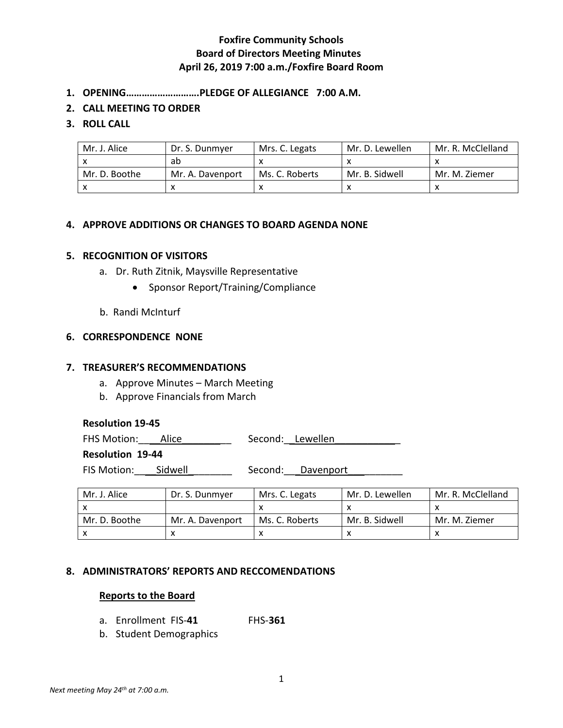# **Foxfire Community Schools Board of Directors Meeting Minutes April 26, 2019 7:00 a.m./Foxfire Board Room**

- **1. OPENING……………………….PLEDGE OF ALLEGIANCE 7:00 A.M.**
- **2. CALL MEETING TO ORDER**

### **3. ROLL CALL**

| Mr. J. Alice  | Dr. S. Dunmver   | Mrs. C. Legats | Mr. D. Lewellen | Mr. R. McClelland |
|---------------|------------------|----------------|-----------------|-------------------|
|               | ab               |                |                 |                   |
| Mr. D. Boothe | Mr. A. Davenport | Ms. C. Roberts | Mr. B. Sidwell  | Mr. M. Ziemer     |
|               |                  |                |                 |                   |

# **4. APPROVE ADDITIONS OR CHANGES TO BOARD AGENDA NONE**

#### **5. RECOGNITION OF VISITORS**

- a. Dr. Ruth Zitnik, Maysville Representative
	- Sponsor Report/Training/Compliance
- b. Randi McInturf

#### **6. CORRESPONDENCE NONE**

### **7. TREASURER'S RECOMMENDATIONS**

- a. Approve Minutes March Meeting
- b. Approve Financials from March

#### **Resolution 19-45**

FHS Motion: \_\_\_\_\_Alice \_\_\_\_\_\_\_\_\_\_\_\_\_\_\_ Second: \_\_Lewellen

#### **Resolution 19-44**

FIS Motion:\_\_\_\_Sidwell\_\_\_\_\_\_\_\_ Second:\_\_\_Davenport\_\_\_\_\_\_\_\_\_\_

| Mr. J. Alice  | Dr. S. Dunmyer   | Mrs. C. Legats | Mr. D. Lewellen | Mr. R. McClelland |
|---------------|------------------|----------------|-----------------|-------------------|
|               |                  |                |                 |                   |
| Mr. D. Boothe | Mr. A. Davenport | Ms. C. Roberts | Mr. B. Sidwell  | Mr. M. Ziemer     |
|               |                  |                |                 |                   |

# **8. ADMINISTRATORS' REPORTS AND RECCOMENDATIONS**

#### **Reports to the Board**

- a. Enrollment FIS-**41** FHS-**361**
- b. Student Demographics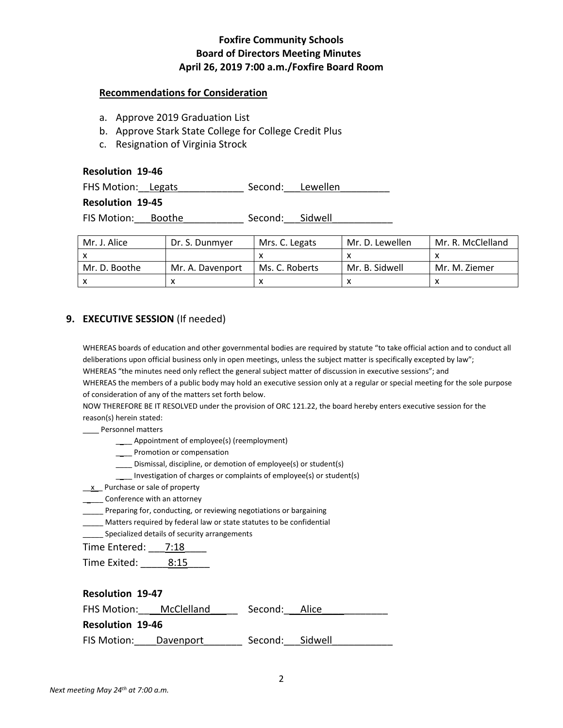# **Foxfire Community Schools Board of Directors Meeting Minutes April 26, 2019 7:00 a.m./Foxfire Board Room**

### **Recommendations for Consideration**

- a. Approve 2019 Graduation List
- b. Approve Stark State College for College Credit Plus
- c. Resignation of Virginia Strock

## **Resolution 19-46**

FHS Motion: Legats \_\_\_\_\_\_\_\_\_\_\_\_\_ Second: Lewellen

## **Resolution 19-45**

FIS Motion:\_\_\_Boothe\_\_\_\_\_\_\_\_\_\_\_ Second:\_\_\_Sidwell\_\_\_\_\_\_\_\_\_\_\_

| Mr. J. Alice  | Dr. S. Dunmyer   | Mrs. C. Legats | Mr. D. Lewellen | Mr. R. McClelland |
|---------------|------------------|----------------|-----------------|-------------------|
|               |                  |                |                 |                   |
| Mr. D. Boothe | Mr. A. Davenport | Ms. C. Roberts | Mr. B. Sidwell  | Mr. M. Ziemer     |
|               |                  |                |                 |                   |

# **9. EXECUTIVE SESSION** (If needed)

WHEREAS boards of education and other governmental bodies are required by statute "to take official action and to conduct all deliberations upon official business only in open meetings, unless the subject matter is specifically excepted by law"; WHEREAS "the minutes need only reflect the general subject matter of discussion in executive sessions"; and WHEREAS the members of a public body may hold an executive session only at a regular or special meeting for the sole purpose of consideration of any of the matters set forth below.

NOW THEREFORE BE IT RESOLVED under the provision of ORC 121.22, the board hereby enters executive session for the reason(s) herein stated:

\_\_\_\_ Personnel matters

- \_\_\_\_ Appointment of employee(s) (reemployment)
- \_\_\_\_ Promotion or compensation
- \_\_\_\_ Dismissal, discipline, or demotion of employee(s) or student(s)
- \_\_\_\_ Investigation of charges or complaints of employee(s) or student(s)
- \_\_x\_\_ Purchase or sale of property
- **\_\_\_\_\_** Conference with an attorney
- \_\_\_\_\_ Preparing for, conducting, or reviewing negotiations or bargaining
- \_\_\_\_\_ Matters required by federal law or state statutes to be confidential
- Specialized details of security arrangements

Time Entered: 7:18

Time Exited: 8:15

| <b>Resolution 19-47</b> |                        |               |         |  |  |  |
|-------------------------|------------------------|---------------|---------|--|--|--|
|                         | FHS Motion: McClelland | Second: Alice |         |  |  |  |
| <b>Resolution 19-46</b> |                        |               |         |  |  |  |
| FIS Motion:             | Davenport              | Second:       | Sidwell |  |  |  |